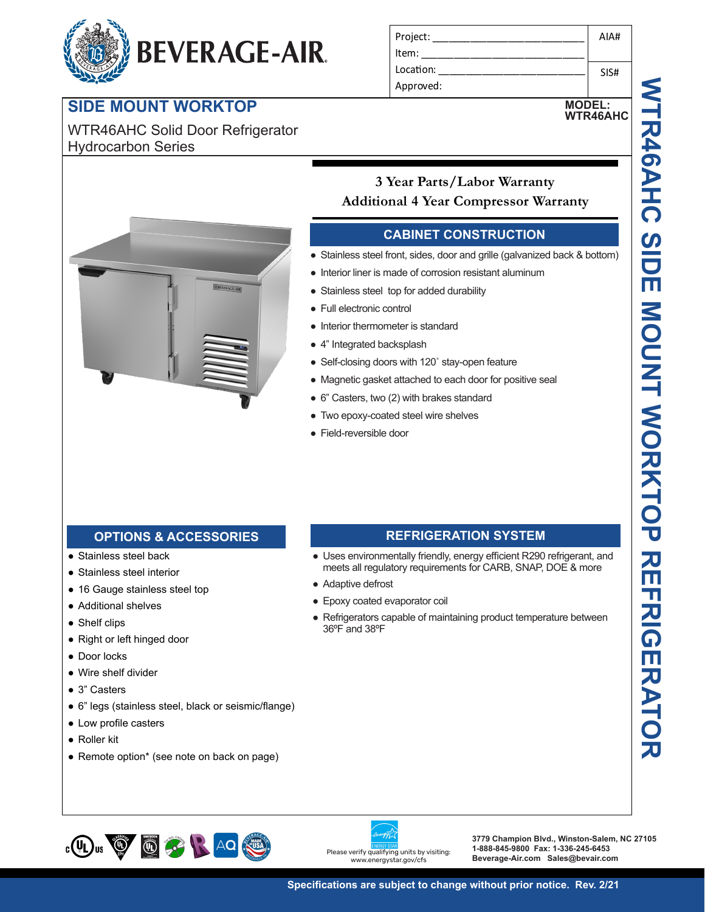# **BEVERAGE-AIR.**

# **SIDE MOUNT WORKTOP**

WTR46AHC Solid Door Refrigerator Hydrocarbon Series

| Project:  | AIA# |
|-----------|------|
| Item:     |      |
| Location: | SIS# |
| Approved: |      |

**MODEL:**



## **3 Year Parts/Labor Warranty Additional 4 Year Compressor Warranty**

## **CABINET CONSTRUCTION**

- Project: \_\_\_\_\_\_\_\_\_\_\_\_\_\_\_\_\_\_\_\_\_\_\_\_\_\_\_\_ Stainless steel front, sides, door and grille (galvanized back & bottom)
- **Itam:** Interior liner is made of corrosion resistant aluminum  $\mathcal{L}_{\mathcal{A}}$
- **Example Stainless steel top for added durability**
- ●<br>● Full electronic control
- **MT49-19 + Interior thermometer is standard** 
	- 4" Integrated backsplash
	- Self-closing doors with 120° stay-open feature
	- Magnetic gasket attached to each door for positive seal
- 6<sup>"</sup> Casters, two (2) with brakes standard
	- Two epoxy-coated steel wire shelves
	- Field-reversible door

## **that is tempered safety options & ACCESSORIES REFRIGERATION SYSTEM**

- Stainless steel back
- Stainless steel interior
- 16 Gauge stainless steel top
- Additional shelves
- Shelf clips
- Right or left hinged door
- Door locks
- $\bullet$  Wire shelf divider ● Door locks<br>● Wire shelf divider<br>● Circlessies
- $\bullet$  3" Casters
- environmental standards standards are seismic/flange)<br>■ 6" legs (stainless steel, black or seismic/flange) Refrigeration system uses R290 refrigerant to comply with all
- $\bullet$  Low profile casters
	- Roller kit
	- Remote option\* (see note on back on page)

#### Double pane lowE argon filled glass doors feature outside pane feature outside the control of the control of the control of the control of the control of the control of the

- opel<br>anda<br>anda<br>lves<br>: Hinged Door Model<br>inged Door Model meets all regulatory requirements for CARB, SNAP, DOE & more  $\ldots$  for  $d$  for  $d$  for  $d$  for  $d$  for  $d$ • Uses environmentally friendly, energy efficient R290 refrigerant, and
	- Adaptive defrost
	- Epoxy coated evaporator coil
- Refrigerators capable of maintaining product temperature between  $\sim 36^{\rm oF}$  and  $38^{\rm oF}$ • Interior liner is made of corrosion resisered to proform and the Full electronic control<br>
• Full electronic control<br>
• Interior thermometer is standard<br>
• 4" Integrated backsplash<br>
• Self-closing doors with 120° stay-op





**3779 Champion Blvd., Winston-Salem, NC 27105 1-888-845-9800 Fax: 1-336-245-6453 Beverage-Air.com Sales@bevair.com**